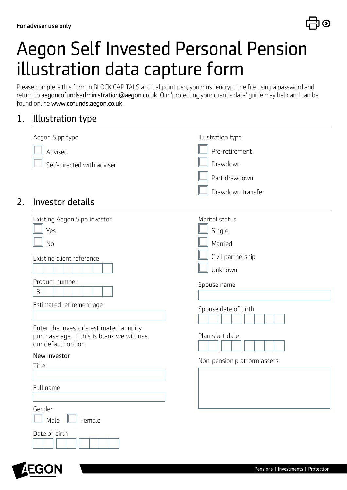

# Aegon Self Invested Personal Pension illustration data capture form

Please complete this form in BLOCK CAPITALS and ballpoint pen, you must encrypt the file using a password and return to aegoncofundsadministration@aegon.co.uk. Our 'protecting your client's data' guide may help and can be found online www.cofunds.aegon.co.uk.

#### 1. Illustration type

| Aegon Sipp type                                                                      | Illustration type           |
|--------------------------------------------------------------------------------------|-----------------------------|
| Advised                                                                              | Pre-retirement              |
| Self-directed with adviser                                                           | Drawdown                    |
|                                                                                      | Part drawdown               |
|                                                                                      | Drawdown transfer           |
| 2.<br>Investor details                                                               |                             |
| Existing Aegon Sipp investor                                                         | Marital status              |
| Yes                                                                                  | Single                      |
| No                                                                                   | Married                     |
| Existing client reference                                                            | Civil partnership           |
|                                                                                      | Unknown                     |
| Product number                                                                       | Spouse name                 |
| 8                                                                                    |                             |
| Estimated retirement age                                                             | Spouse date of birth        |
|                                                                                      |                             |
| Enter the investor's estimated annuity<br>purchase age. If this is blank we will use | Plan start date             |
| our default option                                                                   |                             |
| New investor                                                                         | Non-pension platform assets |
| Title                                                                                |                             |
| Full name                                                                            |                             |
|                                                                                      |                             |
| Gender                                                                               |                             |
| Male<br>Female                                                                       |                             |
| Date of birth                                                                        |                             |
|                                                                                      |                             |

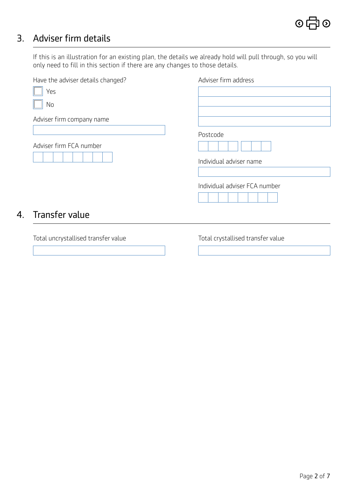### 3. Adviser firm details

If this is an illustration for an existing plan, the details we already hold will pull through, so you will only need to fill in this section if there are any changes to those details.

| Have the adviser details changed? | Adviser firm address          |
|-----------------------------------|-------------------------------|
| Yes                               |                               |
| No                                |                               |
| Adviser firm company name         |                               |
|                                   | Postcode                      |
| Adviser firm FCA number           |                               |
|                                   | Individual adviser name       |
|                                   |                               |
|                                   | Individual adviser FCA number |
|                                   |                               |
| Transfer value<br>4.              |                               |

Total uncrystallised transfer value Total crystallised transfer value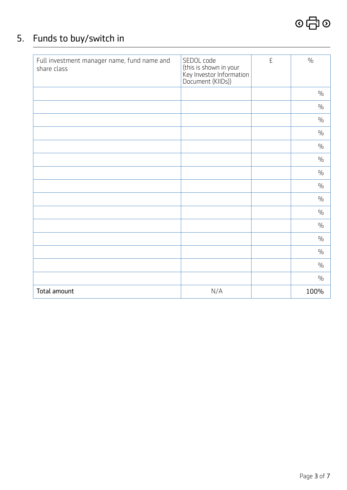## $\circ$ 中 $\circ$

### 5. Funds to buy/switch in

| Full investment manager name, fund name and<br>share class | SEDOL code<br>(this is shown in your<br>Key Investor Information<br>Document (KIIDs)) | £ | $\frac{0}{0}$ |
|------------------------------------------------------------|---------------------------------------------------------------------------------------|---|---------------|
|                                                            |                                                                                       |   | $\frac{0}{0}$ |
|                                                            |                                                                                       |   | $\frac{0}{0}$ |
|                                                            |                                                                                       |   | $\frac{0}{0}$ |
|                                                            |                                                                                       |   | $\frac{0}{0}$ |
|                                                            |                                                                                       |   | $\frac{0}{0}$ |
|                                                            |                                                                                       |   | $\frac{0}{0}$ |
|                                                            |                                                                                       |   | $\frac{0}{0}$ |
|                                                            |                                                                                       |   | $\frac{0}{0}$ |
|                                                            |                                                                                       |   | $\frac{0}{0}$ |
|                                                            |                                                                                       |   | $\frac{0}{0}$ |
|                                                            |                                                                                       |   | $\frac{0}{0}$ |
|                                                            |                                                                                       |   | $\frac{0}{0}$ |
|                                                            |                                                                                       |   | $\frac{0}{0}$ |
|                                                            |                                                                                       |   | $\frac{0}{0}$ |
|                                                            |                                                                                       |   | $\frac{0}{0}$ |
| Total amount                                               | N/A                                                                                   |   | 100%          |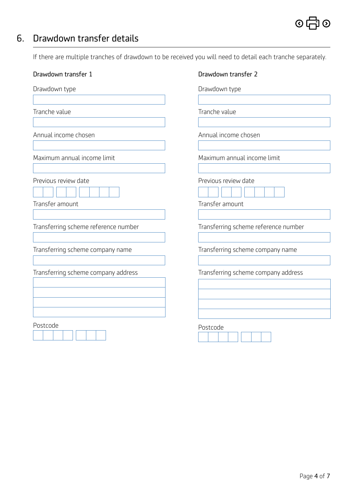### 6. Drawdown transfer details

If there are multiple tranches of drawdown to be received you will need to detail each tranche separately.

| Drawdown transfer 1                     | Drawdown transfer 2                     |  |  |
|-----------------------------------------|-----------------------------------------|--|--|
| Drawdown type                           | Drawdown type                           |  |  |
| Tranche value                           | Tranche value                           |  |  |
| Annual income chosen                    | Annual income chosen                    |  |  |
| Maximum annual income limit             | Maximum annual income limit             |  |  |
| Previous review date<br>Transfer amount | Previous review date<br>Transfer amount |  |  |
| Transferring scheme reference number    | Transferring scheme reference number    |  |  |
| Transferring scheme company name        | Transferring scheme company name        |  |  |
| Transferring scheme company address     | Transferring scheme company address     |  |  |
| Postcode                                | Postcode                                |  |  |



<u> El de la propincia de la propincia de la propincia de la propincia de la propincia de la propincia de la pro</u>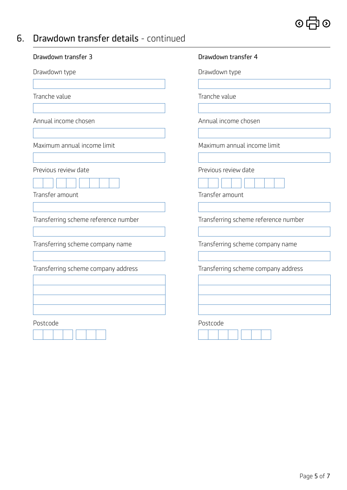### $\circ$   $\oplus$   $\circ$

### 6. Drawdown transfer details - continued

| Drawdown transfer 3                     | Drawdown transfer 4                     |  |
|-----------------------------------------|-----------------------------------------|--|
| Drawdown type                           | Drawdown type                           |  |
| Tranche value                           | Tranche value                           |  |
| Annual income chosen                    | Annual income chosen                    |  |
| Maximum annual income limit             | Maximum annual income limit             |  |
| Previous review date<br>Transfer amount | Previous review date<br>Transfer amount |  |
| Transferring scheme reference number    | Transferring scheme reference number    |  |
| Transferring scheme company name        | Transferring scheme company name        |  |
| Transferring scheme company address     | Transferring scheme company address     |  |
| Postcode                                | Postcode                                |  |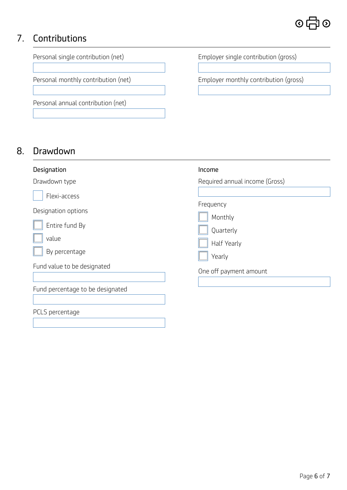### 7. Contributions



### 8. Drawdown

| Designation                      | Income                         |
|----------------------------------|--------------------------------|
| Drawdown type                    | Required annual income (Gross) |
| Flexi-access                     |                                |
| Designation options              | Frequency<br>Monthly           |
| Entire fund By                   | Quarterly                      |
| value                            | Half Yearly                    |
| By percentage                    | Yearly                         |
| Fund value to be designated      | One off payment amount         |
| Fund percentage to be designated |                                |
| PCLS percentage                  |                                |